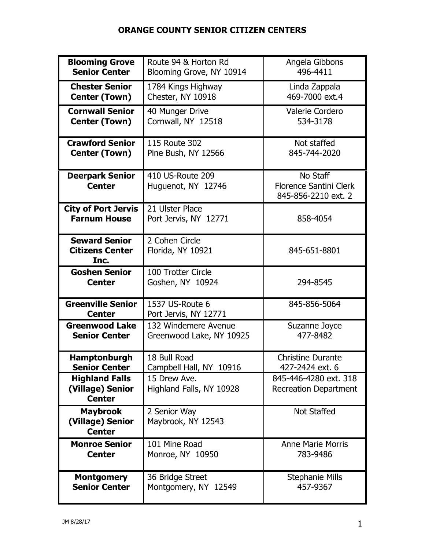## **ORANGE COUNTY SENIOR CITIZEN CENTERS**

| <b>Blooming Grove</b>                                      | Route 94 & Horton Rd                     | Angela Gibbons                                                   |
|------------------------------------------------------------|------------------------------------------|------------------------------------------------------------------|
| <b>Senior Center</b>                                       | Blooming Grove, NY 10914                 | 496-4411                                                         |
| <b>Chester Senior</b>                                      | 1784 Kings Highway                       | Linda Zappala                                                    |
| <b>Center (Town)</b>                                       | Chester, NY 10918                        | 469-7000 ext.4                                                   |
| <b>Cornwall Senior</b>                                     | 40 Munger Drive                          | <b>Valerie Cordero</b>                                           |
| <b>Center (Town)</b>                                       | Cornwall, NY 12518                       | 534-3178                                                         |
| <b>Crawford Senior</b>                                     | 115 Route 302                            | Not staffed                                                      |
| <b>Center (Town)</b>                                       | Pine Bush, NY 12566                      | 845-744-2020                                                     |
| <b>Deerpark Senior</b><br><b>Center</b>                    | 410 US-Route 209<br>Huguenot, NY 12746   | No Staff<br><b>Florence Santini Clerk</b><br>845-856-2210 ext. 2 |
| <b>City of Port Jervis</b><br><b>Farnum House</b>          | 21 Ulster Place<br>Port Jervis, NY 12771 | 858-4054                                                         |
| <b>Seward Senior</b><br><b>Citizens Center</b><br>Inc.     | 2 Cohen Circle<br>Florida, NY 10921      | 845-651-8801                                                     |
| <b>Goshen Senior</b><br><b>Center</b>                      | 100 Trotter Circle<br>Goshen, NY 10924   | 294-8545                                                         |
| <b>Greenville Senior</b><br><b>Center</b>                  | 1537 US-Route 6<br>Port Jervis, NY 12771 | 845-856-5064                                                     |
| <b>Greenwood Lake</b>                                      | 132 Windemere Avenue                     | Suzanne Joyce                                                    |
| <b>Senior Center</b>                                       | Greenwood Lake, NY 10925                 | 477-8482                                                         |
| <b>Hamptonburgh</b>                                        | 18 Bull Road                             | <b>Christine Durante</b>                                         |
| <b>Senior Center</b>                                       | Campbell Hall, NY 10916                  | 427-2424 ext. 6                                                  |
| <b>Highland Falls</b><br>(Village) Senior<br><b>Center</b> | 15 Drew Ave.<br>Highland Falls, NY 10928 | 845-446-4280 ext. 318<br><b>Recreation Department</b>            |
| <b>Maybrook</b><br>(Village) Senior<br><b>Center</b>       | 2 Senior Way<br>Maybrook, NY 12543       | Not Staffed                                                      |
| <b>Monroe Senior</b>                                       | 101 Mine Road                            | <b>Anne Marie Morris</b>                                         |
| <b>Center</b>                                              | Monroe, NY 10950                         | 783-9486                                                         |
| <b>Montgomery</b>                                          | 36 Bridge Street                         | <b>Stephanie Mills</b>                                           |
| <b>Senior Center</b>                                       | Montgomery, NY 12549                     | 457-9367                                                         |